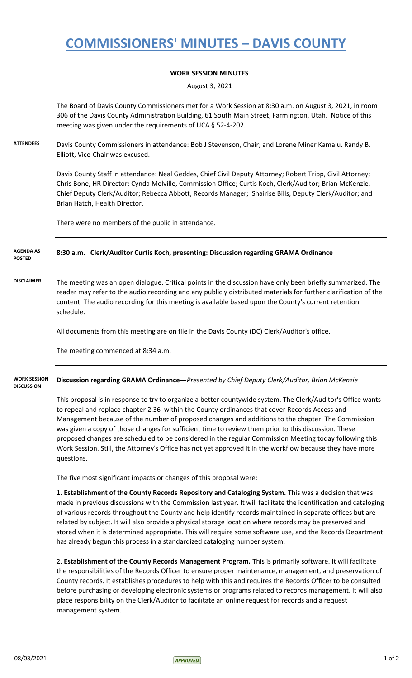# **COMMISSIONERS' MINUTES – DAVIS COUNTY**

### **WORK SESSION MINUTES**

August 3, 2021

The Board of Davis County Commissioners met for a Work Session at 8:30 a.m. on August 3, 2021, in room 306 of the Davis County Administration Building, 61 South Main Street, Farmington, Utah. Notice of this meeting was given under the requirements of UCA § 52-4-202.

**ATTENDEES** Davis County Commissioners in attendance: Bob J Stevenson, Chair; and Lorene Miner Kamalu. Randy B. Elliott, Vice-Chair was excused.

> Davis County Staff in attendance: Neal Geddes, Chief Civil Deputy Attorney; Robert Tripp, Civil Attorney; Chris Bone, HR Director; Cynda Melville, Commission Office; Curtis Koch, Clerk/Auditor; Brian McKenzie, Chief Deputy Clerk/Auditor; Rebecca Abbott, Records Manager; Shairise Bills, Deputy Clerk/Auditor; and Brian Hatch, Health Director.

There were no members of the public in attendance.

#### **8:30 a.m. Clerk/Auditor Curtis Koch, presenting: Discussion regarding GRAMA Ordinance AGENDA AS POSTED**

**DISCLAIMER** The meeting was an open dialogue. Critical points in the discussion have only been briefly summarized. The reader may refer to the audio recording and any publicly distributed materials for further clarification of the content. The audio recording for this meeting is available based upon the County's current retention schedule.

All documents from this meeting are on file in the Davis County (DC) Clerk/Auditor's office.

The meeting commenced at 8:34 a.m.

#### **Discussion regarding GRAMA Ordinance—***Presented by Chief Deputy Clerk/Auditor, Brian McKenzie*  **WORK SESSION DISCUSSION**

This proposal is in response to try to organize a better countywide system. The Clerk/Auditor's Office wants to repeal and replace chapter 2.36 within the County ordinances that cover Records Access and Management because of the number of proposed changes and additions to the chapter. The Commission was given a copy of those changes for sufficient time to review them prior to this discussion. These proposed changes are scheduled to be considered in the regular Commission Meeting today following this Work Session. Still, the Attorney's Office has not yet approved it in the workflow because they have more questions.

The five most significant impacts or changes of this proposal were:

1. **Establishment of the County Records Repository and Cataloging System.** This was a decision that was made in previous discussions with the Commission last year. It will facilitate the identification and cataloging of various records throughout the County and help identify records maintained in separate offices but are related by subject. It will also provide a physical storage location where records may be preserved and stored when it is determined appropriate. This will require some software use, and the Records Department has already begun this process in a standardized cataloging number system.

2. **Establishment of the County Records Management Program.** This is primarily software. It will facilitate the responsibilities of the Records Officer to ensure proper maintenance, management, and preservation of County records. It establishes procedures to help with this and requires the Records Officer to be consulted before purchasing or developing electronic systems or programs related to records management. It will also place responsibility on the Clerk/Auditor to facilitate an online request for records and a request management system.